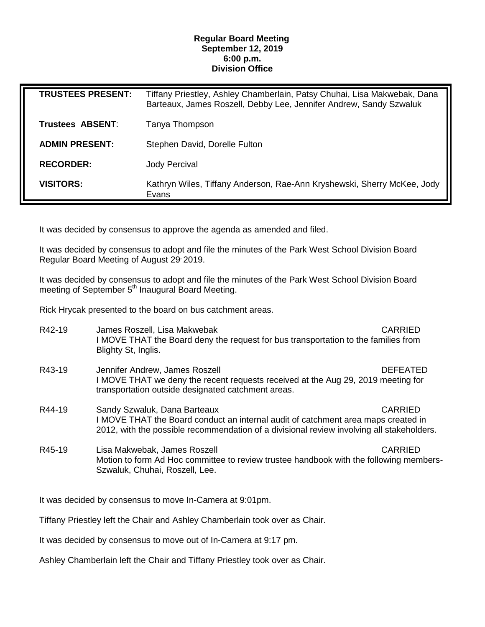## **Regular Board Meeting September 12, 2019 6:00 p.m. Division Office**

| <b>TRUSTEES PRESENT:</b> | Tiffany Priestley, Ashley Chamberlain, Patsy Chuhai, Lisa Makwebak, Dana<br>Barteaux, James Roszell, Debby Lee, Jennifer Andrew, Sandy Szwaluk |
|--------------------------|------------------------------------------------------------------------------------------------------------------------------------------------|
| Trustees ABSENT:         | Tanya Thompson                                                                                                                                 |
| <b>ADMIN PRESENT:</b>    | Stephen David, Dorelle Fulton                                                                                                                  |
| <b>RECORDER:</b>         | <b>Jody Percival</b>                                                                                                                           |
| <b>VISITORS:</b>         | Kathryn Wiles, Tiffany Anderson, Rae-Ann Kryshewski, Sherry McKee, Jody<br>Evans                                                               |

It was decided by consensus to approve the agenda as amended and filed.

It was decided by consensus to adopt and file the minutes of the Park West School Division Board Regular Board Meeting of August 29, 2019.

It was decided by consensus to adopt and file the minutes of the Park West School Division Board meeting of September 5<sup>th</sup> Inaugural Board Meeting.

Rick Hrycak presented to the board on bus catchment areas.

| R42-19 | James Roszell, Lisa Makwebak<br>I MOVE THAT the Board deny the request for bus transportation to the families from<br>Blighty St, Inglis.                                                                                        | <b>CARRIED</b> |
|--------|----------------------------------------------------------------------------------------------------------------------------------------------------------------------------------------------------------------------------------|----------------|
| R43-19 | <b>DEFEATED</b><br>Jennifer Andrew, James Roszell<br>I MOVE THAT we deny the recent requests received at the Aug 29, 2019 meeting for<br>transportation outside designated catchment areas.                                      |                |
| R44-19 | <b>CARRIED</b><br>Sandy Szwaluk, Dana Barteaux<br>I MOVE THAT the Board conduct an internal audit of catchment area maps created in<br>2012, with the possible recommendation of a divisional review involving all stakeholders. |                |
| R45-19 | Lisa Makwebak, James Roszell<br>Motion to form Ad Hoc committee to review trustee handbook with the following members-<br>Szwaluk, Chuhai, Roszell, Lee.                                                                         | <b>CARRIED</b> |

It was decided by consensus to move In-Camera at 9:01pm.

Tiffany Priestley left the Chair and Ashley Chamberlain took over as Chair.

It was decided by consensus to move out of In-Camera at 9:17 pm.

Ashley Chamberlain left the Chair and Tiffany Priestley took over as Chair.